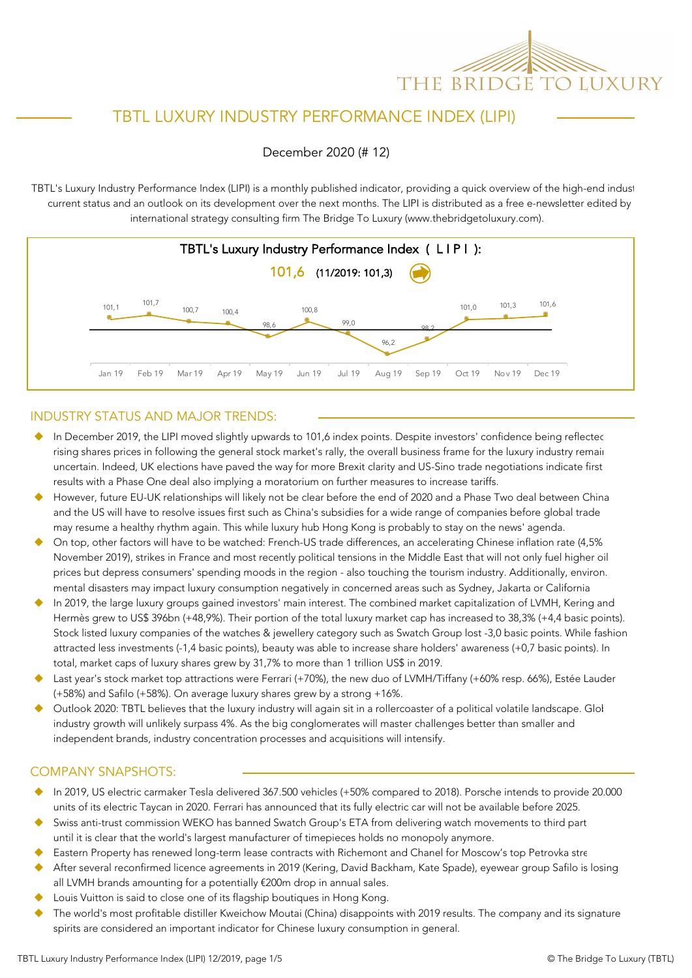

## TBTL LUXURY INDUSTRY PERFORMANCE INDEX (LIPI)

December 2020 (# 12)

TBTL's Luxury Industry Performance Index (LIPI) is a monthly published indicator, providing a quick overview of the high-end indust current status and an outlook on its development over the next months. The LIPI is distributed as a free e-newsletter edited by international strategy consulting firm The Bridge To Luxury (www.thebridgetoluxury.com).



### INDUSTRY STATUS AND MAJOR TRENDS:

- In December 2019, the LIPI moved slightly upwards to 101,6 index points. Despite investors' confidence being reflected rising shares prices in following the general stock market's rally, the overall business frame for the luxury industry remain uncertain. Indeed, UK elections have paved the way for more Brexit clarity and US-Sino trade negotiations indicate first results with a Phase One deal also implying a moratorium on further measures to increase tariffs.
- However, future EU-UK relationships will likely not be clear before the end of 2020 and a Phase Two deal between China and the US will have to resolve issues first such as China's subsidies for a wide range of companies before global trade may resume a healthy rhythm again. This while luxury hub Hong Kong is probably to stay on the news' agenda.
- On top, other factors will have to be watched: French-US trade differences, an accelerating Chinese inflation rate (4,5% November 2019), strikes in France and most recently political tensions in the Middle East that will not only fuel higher oil prices but depress consumers' spending moods in the region - also touching the tourism industry. Additionally, environ. mental disasters may impact luxury consumption negatively in concerned areas such as Sydney, Jakarta or California
- In 2019, the large luxury groups gained investors' main interest. The combined market capitalization of LVMH, Kering and Hermès grew to US\$ 396bn (+48,9%). Their portion of the total luxury market cap has increased to 38,3% (+4,4 basic points). Stock listed luxury companies of the watches & jewellery category such as Swatch Group lost -3,0 basic points. While fashion attracted less investments (-1,4 basic points), beauty was able to increase share holders' awareness (+0,7 basic points). In total, market caps of luxury shares grew by 31,7% to more than 1 trillion US\$ in 2019.
- Last year's stock market top attractions were Ferrari (+70%), the new duo of LVMH/Tiffany (+60% resp. 66%), Estée Lauder (+58%) and Safilo (+58%). On average luxury shares grew by a strong +16%.
- Outlook 2020: TBTL believes that the luxury industry will again sit in a rollercoaster of a political volatile landscape. Glol industry growth will unlikely surpass 4%. As the big conglomerates will master challenges better than smaller and independent brands, industry concentration processes and acquisitions will intensify.

### COMPANY SNAPSHOTS:

- u In 2019, US electric carmaker Tesla delivered 367.500 vehicles (+50% compared to 2018). Porsche intends to provide 20.000 units of its electric Taycan in 2020. Ferrari has announced that its fully electric car will not be available before 2025.
- Swiss anti-trust commission WEKO has banned Swatch Group's ETA from delivering watch movements to third part until it is clear that the world's largest manufacturer of timepieces holds no monopoly anymore.
- Eastern Property has renewed long-term lease contracts with Richemont and Chanel for Moscow's top Petrovka stre
- After several reconfirmed licence agreements in 2019 (Kering, David Backham, Kate Spade), eyewear group Safilo is losing all LVMH brands amounting for a potentially €200m drop in annual sales.
- Louis Vuitton is said to close one of its flagship boutiques in Hong Kong.
- The world's most profitable distiller Kweichow Moutai (China) disappoints with 2019 results. The company and its signature spirits are considered an important indicator for Chinese luxury consumption in general.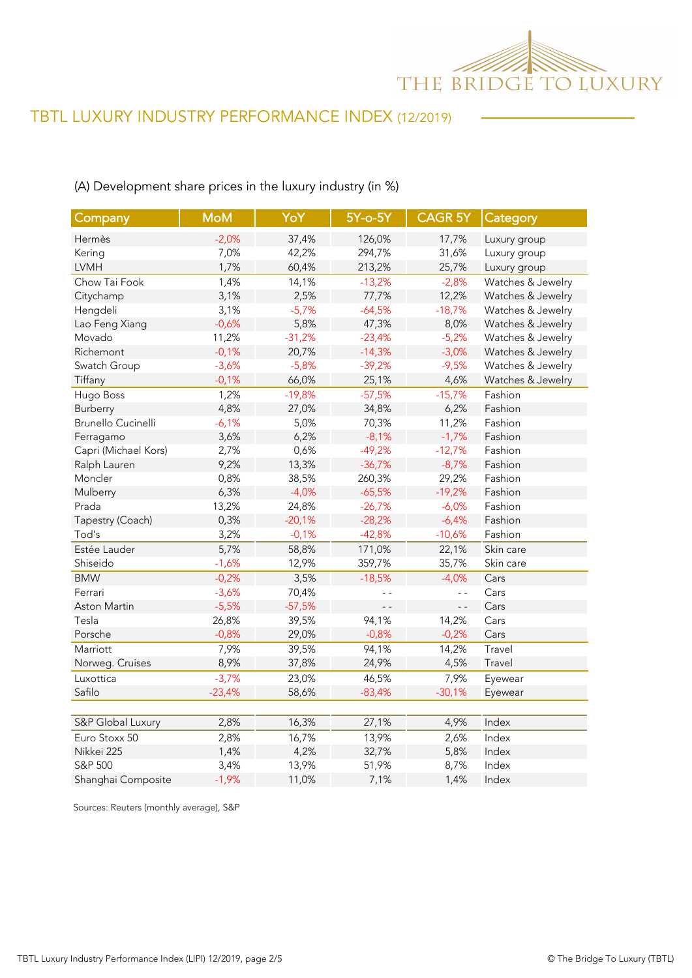

## (A) Development share prices in the luxury industry (in %)

| Company                   | <b>MoM</b> | YoY      | 5Y-o-5Y       | <b>CAGR 5Y</b> | Category          |
|---------------------------|------------|----------|---------------|----------------|-------------------|
| Hermès                    | $-2,0%$    | 37,4%    | 126,0%        | 17,7%          | Luxury group      |
| Kering                    | 7,0%       | 42,2%    | 294,7%        | 31,6%          | Luxury group      |
| <b>LVMH</b>               | 1,7%       | 60,4%    | 213,2%        | 25,7%          | Luxury group      |
| Chow Tai Fook             | 1,4%       | 14,1%    | $-13,2%$      | $-2,8%$        | Watches & Jewelry |
| Citychamp                 | 3,1%       | 2,5%     | 77,7%         | 12,2%          | Watches & Jewelry |
| Hengdeli                  | 3,1%       | $-5,7%$  | $-64,5%$      | $-18,7%$       | Watches & Jewelry |
| Lao Feng Xiang            | $-0,6%$    | 5,8%     | 47,3%         | 8,0%           | Watches & Jewelry |
| Movado                    | 11,2%      | $-31,2%$ | $-23,4%$      | $-5,2%$        | Watches & Jewelry |
| Richemont                 | $-0,1%$    | 20,7%    | $-14,3%$      | $-3,0%$        | Watches & Jewelry |
| Swatch Group              | $-3,6%$    | $-5,8%$  | $-39,2%$      | $-9,5%$        | Watches & Jewelry |
| Tiffany                   | $-0,1%$    | 66,0%    | 25,1%         | 4,6%           | Watches & Jewelry |
| Hugo Boss                 | 1,2%       | $-19,8%$ | $-57,5%$      | $-15,7%$       | Fashion           |
| Burberry                  | 4,8%       | 27,0%    | 34,8%         | 6,2%           | Fashion           |
| <b>Brunello Cucinelli</b> | $-6,1%$    | 5,0%     | 70,3%         | 11,2%          | Fashion           |
| Ferragamo                 | 3,6%       | 6,2%     | $-8,1%$       | $-1,7%$        | Fashion           |
| Capri (Michael Kors)      | 2,7%       | 0,6%     | $-49,2%$      | $-12,7%$       | Fashion           |
| Ralph Lauren              | 9,2%       | 13,3%    | $-36,7%$      | $-8,7%$        | Fashion           |
| Moncler                   | 0,8%       | 38,5%    | 260,3%        | 29,2%          | Fashion           |
| Mulberry                  | 6,3%       | $-4,0%$  | $-65,5%$      | $-19,2%$       | Fashion           |
| Prada                     | 13,2%      | 24,8%    | $-26,7%$      | $-6,0%$        | Fashion           |
| Tapestry (Coach)          | 0,3%       | $-20,1%$ | $-28,2%$      | $-6,4%$        | Fashion           |
| Tod's                     | 3,2%       | $-0,1%$  | $-42,8%$      | $-10,6%$       | Fashion           |
| Estée Lauder              | 5,7%       | 58,8%    | 171,0%        | 22,1%          | Skin care         |
| Shiseido                  | $-1,6%$    | 12,9%    | 359,7%        | 35,7%          | Skin care         |
| <b>BMW</b>                | $-0,2%$    | 3,5%     | $-18,5%$      | $-4,0%$        | Cars              |
| Ferrari                   | $-3,6%$    | 70,4%    |               | $ -$           | Cars              |
| Aston Martin              | $-5,5%$    | $-57,5%$ | $\sim$ $\sim$ | $\overline{a}$ | Cars              |
| Tesla                     | 26,8%      | 39,5%    | 94,1%         | 14,2%          | Cars              |
| Porsche                   | $-0,8%$    | 29,0%    | $-0,8%$       | $-0,2%$        | Cars              |
| Marriott                  | 7,9%       | 39,5%    | 94,1%         | 14,2%          | Travel            |
| Norweg. Cruises           | 8,9%       | 37,8%    | 24,9%         | 4,5%           | Travel            |
| Luxottica                 | $-3,7%$    | 23,0%    | 46,5%         | 7,9%           | Eyewear           |
| Safilo                    | $-23,4%$   | 58,6%    | $-83,4%$      | $-30,1%$       | Eyewear           |
|                           |            |          |               |                |                   |
| S&P Global Luxury         | 2,8%       | 16,3%    | 27,1%         | 4,9%           | Index             |
| Euro Stoxx 50             | 2,8%       | 16,7%    | 13,9%         | 2,6%           | Index             |
| Nikkei 225                | 1,4%       | 4,2%     | 32,7%         | 5,8%           | Index             |
| S&P 500                   | 3,4%       | 13,9%    | 51,9%         | 8,7%           | Index             |
| Shanghai Composite        | $-1,9%$    | 11,0%    | 7,1%          | 1,4%           | Index             |

Sources: Reuters (monthly average), S&P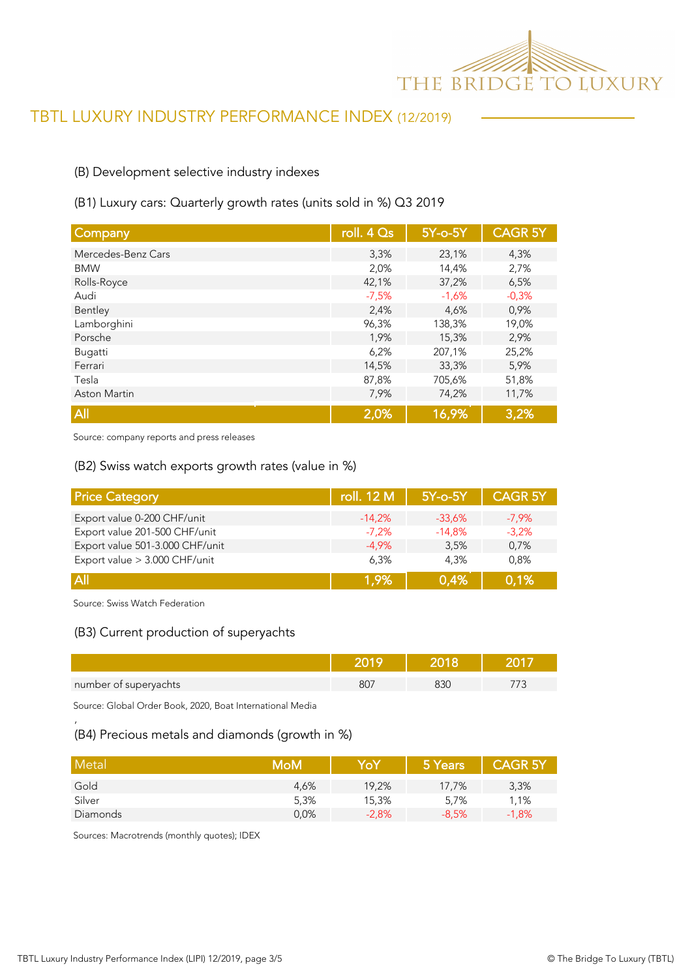

## (B) Development selective industry indexes

### (B1) Luxury cars: Quarterly growth rates (units sold in %) Q3 2019

| Company             | roll. 4 Qs | 5Y-o-5Y | <b>CAGR 5Y</b> |
|---------------------|------------|---------|----------------|
| Mercedes-Benz Cars  | 3,3%       | 23,1%   | 4,3%           |
| <b>BMW</b>          | 2,0%       | 14,4%   | 2,7%           |
| Rolls-Royce         | 42,1%      | 37,2%   | 6,5%           |
| Audi                | $-7,5%$    | $-1,6%$ | $-0,3%$        |
| Bentley             | 2,4%       | 4,6%    | 0,9%           |
| Lamborghini         | 96,3%      | 138,3%  | 19,0%          |
| Porsche             | 1,9%       | 15,3%   | 2,9%           |
| Bugatti             | 6,2%       | 207,1%  | 25,2%          |
| Ferrari             | 14,5%      | 33,3%   | 5,9%           |
| Tesla               | 87,8%      | 705,6%  | 51,8%          |
| <b>Aston Martin</b> | 7,9%       | 74,2%   | 11,7%          |
| All                 | 2,0%       | 16,9%   | 3,2%           |

Source: company reports and press releases

#### (B2) Swiss watch exports growth rates (value in %)

| <b>Price Category</b>           | roll. 12 M | 5Y-o-5Y  | <b>CAGR 5Y</b> |
|---------------------------------|------------|----------|----------------|
| Export value 0-200 CHF/unit     | $-14.2%$   | $-33.6%$ | $-7.9%$        |
| Export value 201-500 CHF/unit   | $-7.2%$    | $-14.8%$ | $-3,2%$        |
| Export value 501-3.000 CHF/unit | $-4.9%$    | 3.5%     | 0.7%           |
| Export value > 3.000 CHF/unit   | 6.3%       | 4.3%     | 0.8%           |
| <b>All</b>                      | 1.9%       | 0.4%     | 0,1%           |

Source: Swiss Watch Federation

'

### (B3) Current production of superyachts

| number of superyachts | 80 | .N |  |
|-----------------------|----|----|--|

Source: Global Order Book, 2020, Boat International Media

## (B4) Precious metals and diamonds (growth in %)

| Metal    | MoM  | YoY     | 5 Years | <b>CAGR 5Y</b> |
|----------|------|---------|---------|----------------|
| Gold     | 4,6% | 19,2%   | 17,7%   | 3,3%           |
| Silver   | 5,3% | 15,3%   | 5,7%    | 1,1%           |
| Diamonds | 0.0% | $-2,8%$ | $-8.5%$ | $-1,8%$        |

Sources: Macrotrends (monthly quotes); IDEX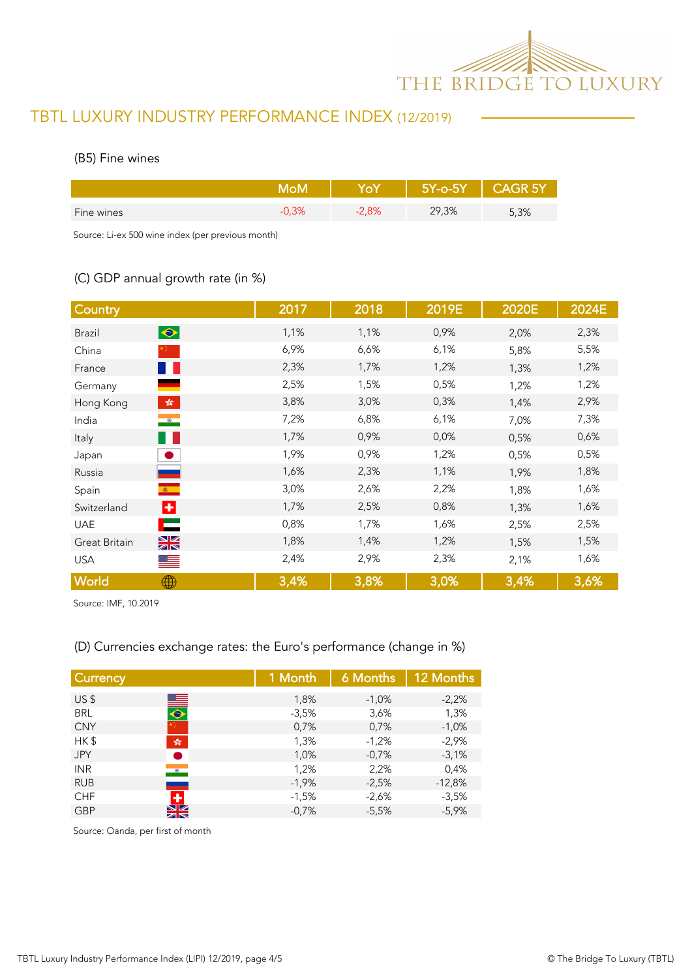

### (B5) Fine wines

|            |      | $5Y$ -0- $5Y$ | וכ אט |
|------------|------|---------------|-------|
| Fine wines | 2,8% | 29,3%         | 5,3%  |

Source: Li-ex 500 wine index (per previous month)

## (C) GDP annual growth rate (in %)

| Country                                  | 2017 | 2018 | 2019E | 2020E | 2024E |
|------------------------------------------|------|------|-------|-------|-------|
| $\bullet$<br><b>Brazil</b>               | 1,1% | 1,1% | 0,9%  | 2,0%  | 2,3%  |
| China                                    | 6,9% | 6,6% | 6,1%  | 5,8%  | 5,5%  |
| a pro<br>France                          | 2,3% | 1,7% | 1,2%  | 1,3%  | 1,2%  |
| Germany                                  | 2,5% | 1,5% | 0,5%  | 1,2%  | 1,2%  |
| $\mathcal{L}_{\mathcal{R}}$<br>Hong Kong | 3,8% | 3,0% | 0,3%  | 1,4%  | 2,9%  |
| $\bullet$<br>India                       | 7,2% | 6,8% | 6,1%  | 7,0%  | 7,3%  |
| w<br>Italy                               | 1,7% | 0,9% | 0,0%  | 0,5%  | 0,6%  |
| Japan                                    | 1,9% | 0,9% | 1,2%  | 0,5%  | 0,5%  |
| Russia                                   | 1,6% | 2,3% | 1,1%  | 1,9%  | 1,8%  |
| $\mathcal{R}$ .<br>Spain                 | 3,0% | 2,6% | 2,2%  | 1,8%  | 1,6%  |
| ÷<br>Switzerland                         | 1,7% | 2,5% | 0,8%  | 1,3%  | 1,6%  |
| ⊏<br><b>UAE</b>                          | 0,8% | 1,7% | 1,6%  | 2,5%  | 2,5%  |
| $\frac{N}{N}$<br>Great Britain           | 1,8% | 1,4% | 1,2%  | 1,5%  | 1,5%  |
| <b>USA</b><br>$=$                        | 2,4% | 2,9% | 2,3%  | 2,1%  | 1,6%  |
| World<br>⊕                               | 3,4% | 3,8% | 3,0%  | 3,4%  | 3,6%  |

Source: IMF, 10.2019

## (D) Currencies exchange rates: the Euro's performance (change in %)

| <b>Currency</b>                      | 1 Month | 6 Months | 12 Months |
|--------------------------------------|---------|----------|-----------|
| US <sub>5</sub>                      | 1,8%    | $-1,0\%$ | $-2,2%$   |
| $\blacksquare$<br><b>BRL</b>         | $-3.5%$ | 3,6%     | 1,3%      |
| <b>CNY</b>                           | 0,7%    | 0,7%     | $-1,0%$   |
| HK\$<br>$\frac{\sqrt{3}}{2\sqrt{3}}$ | 1,3%    | $-1,2%$  | $-2,9%$   |
| <b>JPY</b>                           | 1,0%    | $-0.7%$  | $-3,1%$   |
| <b>INR</b><br>$\bullet$              | 1,2%    | 2,2%     | 0,4%      |
| <b>RUB</b><br>___                    | $-1,9%$ | $-2,5%$  | $-12,8%$  |
| ٠<br><b>CHF</b>                      | $-1,5%$ | $-2,6%$  | $-3,5%$   |
| $\frac{N}{N}$<br><b>GBP</b>          | $-0,7%$ | $-5,5%$  | $-5,9%$   |

Source: Oanda, per first of month